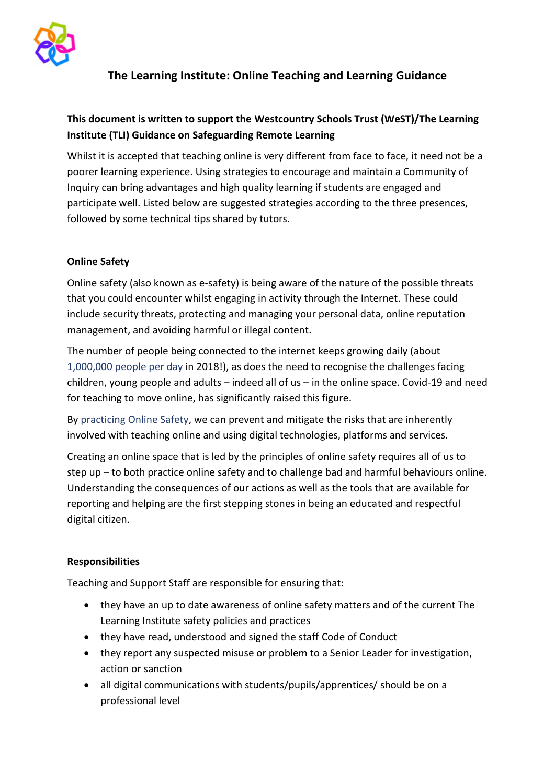

# **The Learning Institute: Online Teaching and Learning Guidance**

# **This document is written to support the Westcountry Schools Trust (WeST)/The Learning Institute (TLI) Guidance on Safeguarding Remote Learning**

Whilst it is accepted that teaching online is very different from face to face, it need not be a poorer learning experience. Using strategies to encourage and maintain a Community of Inquiry can bring advantages and high quality learning if students are engaged and participate well. Listed below are suggested strategies according to the three presences, followed by some technical tips shared by tutors.

### **Online Safety**

Online safety (also known as e-safety) is being aware of the nature of the possible threats that you could encounter whilst engaging in activity through the Internet. These could include security threats, protecting and managing your personal data, online reputation management, and avoiding harmful or illegal content.

The number of people being connected to the internet keeps growing daily (about [1,000,000 people per day](https://thenextweb.com/contributors/2019/01/30/digital-trends-2019-every-single-stat-you-need-to-know-about-the-internet/) in 2018!), as does the need to recognise the challenges facing children, young people and adults – indeed all of us – in the online space. Covid-19 and need for teaching to move online, has significantly raised this figure.

By [practicing Online Safety,](https://swgfl.org.uk/training/online-safety-training/) we can prevent and mitigate the risks that are inherently involved with teaching online and using digital technologies, platforms and services.

Creating an online space that is led by the principles of online safety requires all of us to step up – to both practice online safety and to challenge bad and harmful behaviours online. Understanding the consequences of our actions as well as the tools that are available for reporting and helping are the first stepping stones in being an educated and respectful digital citizen.

### **Responsibilities**

Teaching and Support Staff are responsible for ensuring that:

- they have an up to date awareness of online safety matters and of the current The Learning Institute safety policies and practices
- they have read, understood and signed the staff Code of Conduct
- they report any suspected misuse or problem to a Senior Leader for investigation, action or sanction
- all digital communications with students/pupils/apprentices/ should be on a professional level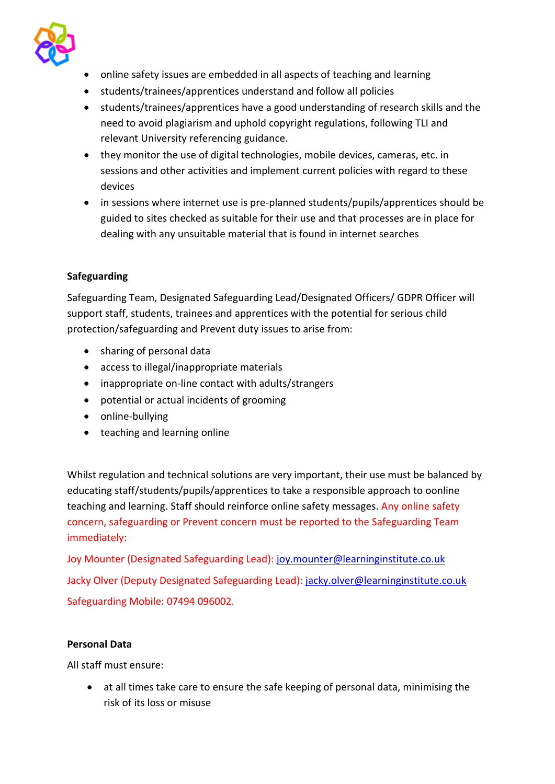

- online safety issues are embedded in all aspects of teaching and learning
- students/trainees/apprentices understand and follow all policies
- students/trainees/apprentices have a good understanding of research skills and the need to avoid plagiarism and uphold copyright regulations, following TLI and relevant University referencing guidance.
- they monitor the use of digital technologies, mobile devices, cameras, etc. in sessions and other activities and implement current policies with regard to these devices
- in sessions where internet use is pre-planned students/pupils/apprentices should be guided to sites checked as suitable for their use and that processes are in place for dealing with any unsuitable material that is found in internet searches

## **Safeguarding**

Safeguarding Team, Designated Safeguarding Lead/Designated Officers/ GDPR Officer will support staff, students, trainees and apprentices with the potential for serious child protection/safeguarding and Prevent duty issues to arise from:

- sharing of personal data
- access to illegal/inappropriate materials
- inappropriate on-line contact with adults/strangers
- potential or actual incidents of grooming
- online-bullying
- teaching and learning online

Whilst regulation and technical solutions are very important, their use must be balanced by educating staff/students/pupils/apprentices to take a responsible approach to oonline teaching and learning. Staff should reinforce online safety messages. Any online safety concern, safeguarding or Prevent concern must be reported to the Safeguarding Team immediately:

Joy Mounter (Designated Safeguarding Lead): [joy.mounter@learninginstitute.co.uk](mailto:joy.mounter@learninginstitute.co.uk) Jacky Olver (Deputy Designated Safeguarding Lead)[: jacky.olver@learninginstitute.co.uk](mailto:jacky.olver@learninginstitute.co.uk) Safeguarding Mobile: 07494 096002.

### **Personal Data**

All staff must ensure:

• at all times take care to ensure the safe keeping of personal data, minimising the risk of its loss or misuse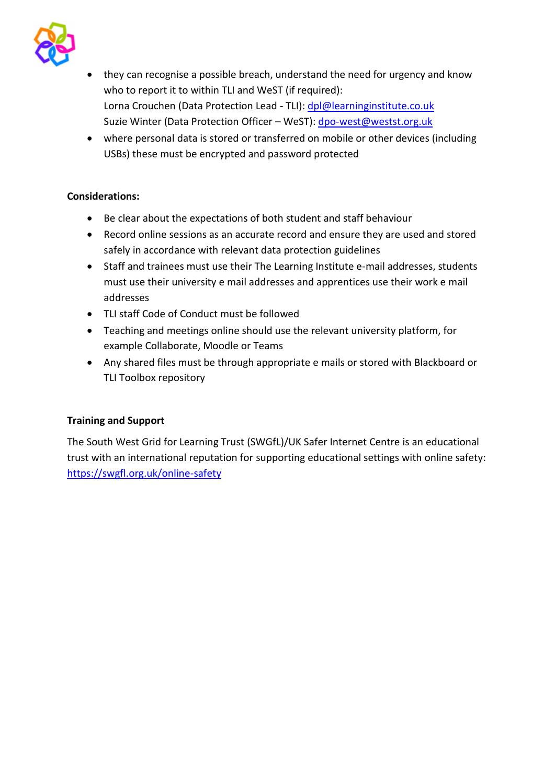

- they can recognise a possible breach, understand the need for urgency and know who to report it to within TLI and WeST (if required): Lorna Crouchen (Data Protection Lead - TLI): [dpl@learninginstitute.co.uk](mailto:dpl@learninginstitute.co.uk) Suzie Winter (Data Protection Officer – WeST): [dpo-west@westst.org.uk](mailto:dpo-west@westst.org.uk)
- where personal data is stored or transferred on mobile or other devices (including USBs) these must be encrypted and password protected

### **Considerations:**

- Be clear about the expectations of both student and staff behaviour
- Record online sessions as an accurate record and ensure they are used and stored safely in accordance with relevant data protection guidelines
- Staff and trainees must use their The Learning Institute e-mail addresses, students must use their university e mail addresses and apprentices use their work e mail addresses
- TLI staff Code of Conduct must be followed
- Teaching and meetings online should use the relevant university platform, for example Collaborate, Moodle or Teams
- Any shared files must be through appropriate e mails or stored with Blackboard or TLI Toolbox repository

## **Training and Support**

The South West Grid for Learning Trust (SWGfL)/UK Safer Internet Centre is an educational trust with an international reputation for supporting educational settings with online safety: <https://swgfl.org.uk/online-safety>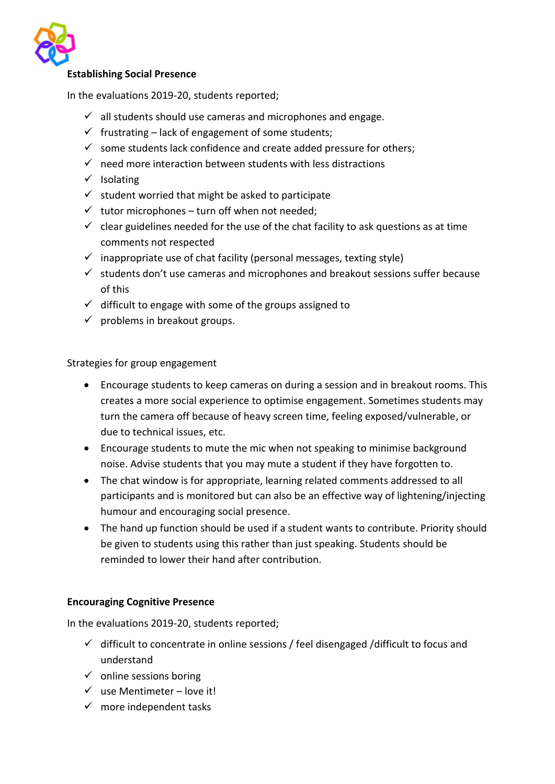

#### **Establishing Social Presence**

In the evaluations 2019-20, students reported;

- $\checkmark$  all students should use cameras and microphones and engage.
- $\checkmark$  frustrating lack of engagement of some students;
- $\checkmark$  some students lack confidence and create added pressure for others;
- $\checkmark$  need more interaction between students with less distractions
- ✓ Isolating
- $\checkmark$  student worried that might be asked to participate
- $\checkmark$  tutor microphones turn off when not needed;
- $\checkmark$  clear guidelines needed for the use of the chat facility to ask questions as at time comments not respected
- $\checkmark$  inappropriate use of chat facility (personal messages, texting style)
- $\checkmark$  students don't use cameras and microphones and breakout sessions suffer because of this
- $\checkmark$  difficult to engage with some of the groups assigned to
- $\checkmark$  problems in breakout groups.

Strategies for group engagement

- Encourage students to keep cameras on during a session and in breakout rooms. This creates a more social experience to optimise engagement. Sometimes students may turn the camera off because of heavy screen time, feeling exposed/vulnerable, or due to technical issues, etc.
- Encourage students to mute the mic when not speaking to minimise background noise. Advise students that you may mute a student if they have forgotten to.
- The chat window is for appropriate, learning related comments addressed to all participants and is monitored but can also be an effective way of lightening/injecting humour and encouraging social presence.
- The hand up function should be used if a student wants to contribute. Priority should be given to students using this rather than just speaking. Students should be reminded to lower their hand after contribution.

#### **Encouraging Cognitive Presence**

In the evaluations 2019-20, students reported;

- $\checkmark$  difficult to concentrate in online sessions / feel disengaged /difficult to focus and understand
- $\checkmark$  online sessions boring
- $\checkmark$  use Mentimeter love it!
- $\checkmark$  more independent tasks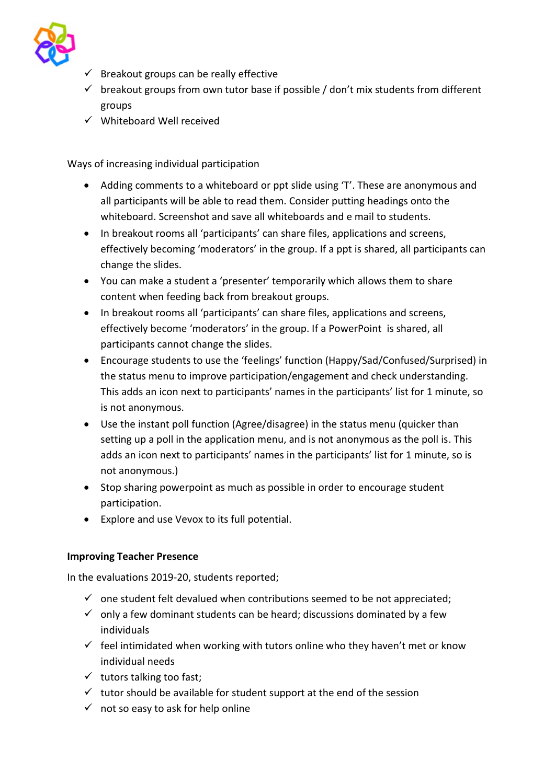

- $\checkmark$  Breakout groups can be really effective
- $\checkmark$  breakout groups from own tutor base if possible / don't mix students from different groups
- ✓ Whiteboard Well received

Ways of increasing individual participation

- Adding comments to a whiteboard or ppt slide using 'T'. These are anonymous and all participants will be able to read them. Consider putting headings onto the whiteboard. Screenshot and save all whiteboards and e mail to students.
- In breakout rooms all 'participants' can share files, applications and screens, effectively becoming 'moderators' in the group. If a ppt is shared, all participants can change the slides.
- You can make a student a 'presenter' temporarily which allows them to share content when feeding back from breakout groups.
- In breakout rooms all 'participants' can share files, applications and screens, effectively become 'moderators' in the group. If a PowerPoint is shared, all participants cannot change the slides.
- Encourage students to use the 'feelings' function (Happy/Sad/Confused/Surprised) in the status menu to improve participation/engagement and check understanding. This adds an icon next to participants' names in the participants' list for 1 minute, so is not anonymous.
- Use the instant poll function (Agree/disagree) in the status menu (quicker than setting up a poll in the application menu, and is not anonymous as the poll is. This adds an icon next to participants' names in the participants' list for 1 minute, so is not anonymous.)
- Stop sharing powerpoint as much as possible in order to encourage student participation.
- Explore and use Vevox to its full potential.

## **Improving Teacher Presence**

In the evaluations 2019-20, students reported;

- $\checkmark$  one student felt devalued when contributions seemed to be not appreciated;
- $\checkmark$  only a few dominant students can be heard; discussions dominated by a few individuals
- $\checkmark$  feel intimidated when working with tutors online who they haven't met or know individual needs
- $\checkmark$  tutors talking too fast;
- $\checkmark$  tutor should be available for student support at the end of the session
- $\checkmark$  not so easy to ask for help online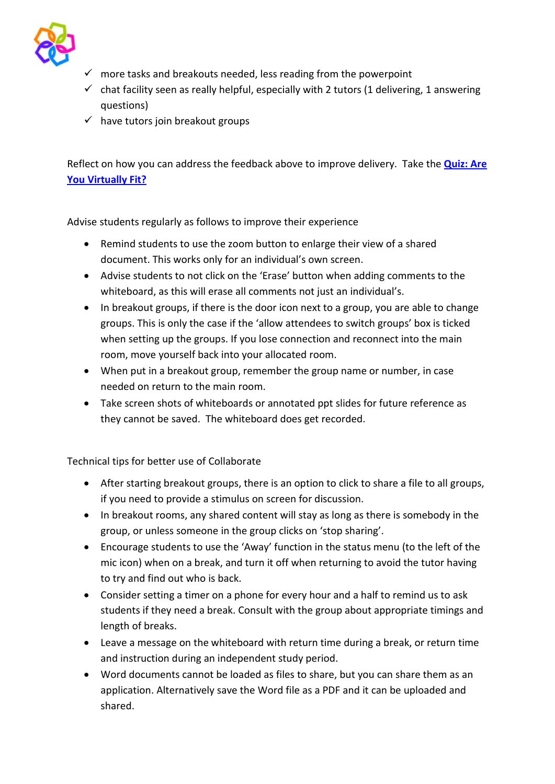

- $\checkmark$  more tasks and breakouts needed, less reading from the powerpoint
- $\checkmark$  chat facility seen as really helpful, especially with 2 tutors (1 delivering, 1 answering questions)
- $\checkmark$  have tutors join breakout groups

Reflect on how you can address the feedback above to improve delivery. Take the **[Quiz: Are](#page-7-0)  [You Virtually Fit?](#page-7-0)**

Advise students regularly as follows to improve their experience

- Remind students to use the zoom button to enlarge their view of a shared document. This works only for an individual's own screen.
- Advise students to not click on the 'Erase' button when adding comments to the whiteboard, as this will erase all comments not just an individual's.
- In breakout groups, if there is the door icon next to a group, you are able to change groups. This is only the case if the 'allow attendees to switch groups' box is ticked when setting up the groups. If you lose connection and reconnect into the main room, move yourself back into your allocated room.
- When put in a breakout group, remember the group name or number, in case needed on return to the main room.
- Take screen shots of whiteboards or annotated ppt slides for future reference as they cannot be saved. The whiteboard does get recorded.

Technical tips for better use of Collaborate

- After starting breakout groups, there is an option to click to share a file to all groups, if you need to provide a stimulus on screen for discussion.
- In breakout rooms, any shared content will stay as long as there is somebody in the group, or unless someone in the group clicks on 'stop sharing'.
- Encourage students to use the 'Away' function in the status menu (to the left of the mic icon) when on a break, and turn it off when returning to avoid the tutor having to try and find out who is back.
- Consider setting a timer on a phone for every hour and a half to remind us to ask students if they need a break. Consult with the group about appropriate timings and length of breaks.
- Leave a message on the whiteboard with return time during a break, or return time and instruction during an independent study period.
- Word documents cannot be loaded as files to share, but you can share them as an application. Alternatively save the Word file as a PDF and it can be uploaded and shared.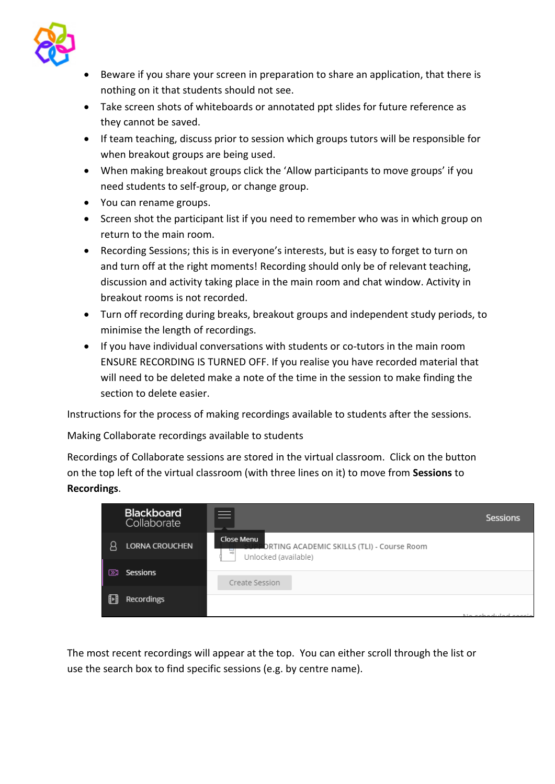

- Beware if you share your screen in preparation to share an application, that there is nothing on it that students should not see.
- Take screen shots of whiteboards or annotated ppt slides for future reference as they cannot be saved.
- If team teaching, discuss prior to session which groups tutors will be responsible for when breakout groups are being used.
- When making breakout groups click the 'Allow participants to move groups' if you need students to self-group, or change group.
- You can rename groups.
- Screen shot the participant list if you need to remember who was in which group on return to the main room.
- Recording Sessions; this is in everyone's interests, but is easy to forget to turn on and turn off at the right moments! Recording should only be of relevant teaching, discussion and activity taking place in the main room and chat window. Activity in breakout rooms is not recorded.
- Turn off recording during breaks, breakout groups and independent study periods, to minimise the length of recordings.
- If you have individual conversations with students or co-tutors in the main room ENSURE RECORDING IS TURNED OFF. If you realise you have recorded material that will need to be deleted make a note of the time in the session to make finding the section to delete easier.

Instructions for the process of making recordings available to students after the sessions.

Making Collaborate recordings available to students

Recordings of Collaborate sessions are stored in the virtual classroom. Click on the button on the top left of the virtual classroom (with three lines on it) to move from **Sessions** to **Recordings**.



The most recent recordings will appear at the top. You can either scroll through the list or use the search box to find specific sessions (e.g. by centre name).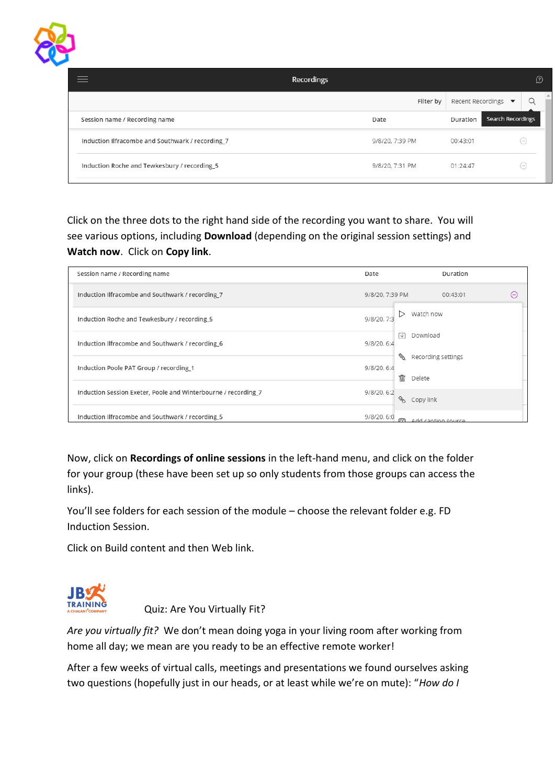

| <b>Recordings</b>                                |                 |                   | $\Omega$             |
|--------------------------------------------------|-----------------|-------------------|----------------------|
|                                                  | Filter by       | Recent Recordings | $\blacktriangledown$ |
| Session name / Recording name                    | Date            | Duration          | Search Recordings    |
| Induction Ilfracombe and Southwark / recording 7 | 9/8/20, 7:39 PM | 00:43:01          | $(\cdots)$           |
| Induction Roche and Tewkesbury / recording_5     | 9/8/20, 7:31 PM | 01:24:47          | $(\cdots)$           |

Click on the three dots to the right hand side of the recording you want to share. You will see various options, including **Download** (depending on the original session settings) and **Watch now**. Click on **Copy link**.

| Session name / Recording name                                  | Date                  | Duration               |
|----------------------------------------------------------------|-----------------------|------------------------|
| Induction Ilfracombe and Southwark / recording 7               | 9/8/20, 7:39 PM       | 00:43:01<br>$(\cdots)$ |
| Induction Roche and Tewkesbury / recording_5                   | 9/8/20, 7:3           | Watch now              |
| Induction Ilfracombe and Southwark / recording 6               | гV<br>9/8/20, 6:4     | Download               |
| Induction Poole PAT Group / recording_1                        | D.<br>9/8/20, 6:4     | Recording settings     |
| Induction Session Exeter, Poole and Winterbourne / recording_7 | 喕<br>9/8/20, 6:2<br>8 | Delete<br>Copy link    |
| Induction Ilfracombe and Southwark / recording_5               | 9/8/20, 6:0<br>m      | Add cantion source     |

Now, click on **Recordings of online sessions** in the left-hand menu, and click on the folder for your group (these have been set up so only students from those groups can access the links).

You'll see folders for each session of the module – choose the relevant folder e.g. FD Induction Session.

Click on Build content and then Web link.



<span id="page-7-0"></span>Quiz: Are You Virtually Fit?

*Are you virtually fit?* We don't mean doing yoga in your living room after working from home all day; we mean are you ready to be an effective remote worker!

After a few weeks of virtual calls, meetings and presentations we found ourselves asking two questions (hopefully just in our heads, or at least while we're on mute): "*How do I*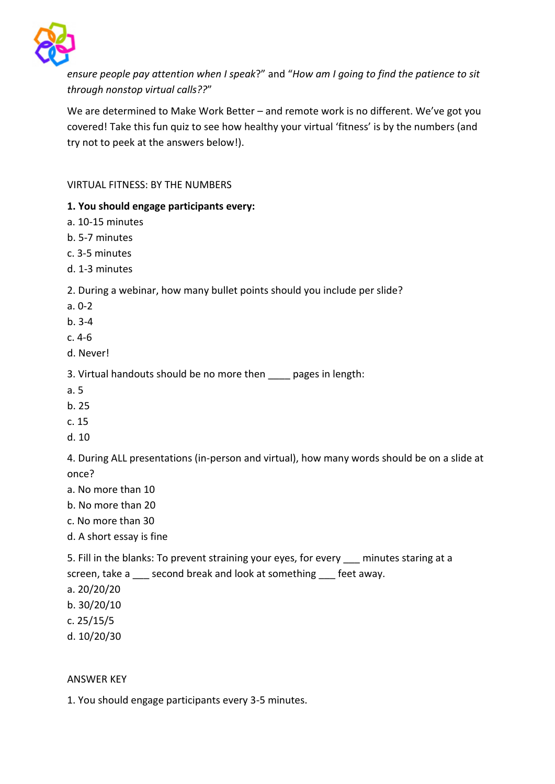

*ensure people pay attention when I speak*?" and "*How am I going to find the patience to sit through nonstop virtual calls??*"

We are determined to Make Work Better – and remote work is no different. We've got you covered! Take this fun quiz to see how healthy your virtual 'fitness' is by the numbers (and try not to peek at the answers below!).

VIRTUAL FITNESS: BY THE NUMBERS

### **1. You should engage participants every:**

- a. 10-15 minutes
- b. 5-7 minutes
- c. 3-5 minutes
- d. 1-3 minutes

2. During a webinar, how many bullet points should you include per slide?

- a. 0-2
- b. 3-4
- c. 4-6
- d. Never!
- 3. Virtual handouts should be no more then \_\_\_\_ pages in length:
- a. 5
- b. 25
- c. 15
- d. 10

4. During ALL presentations (in-person and virtual), how many words should be on a slide at once?

- a. No more than 10
- b. No more than 20
- c. No more than 30
- d. A short essay is fine

5. Fill in the blanks: To prevent straining your eyes, for every \_\_\_ minutes staring at a screen, take a \_\_\_ second break and look at something \_\_\_ feet away.

- a. 20/20/20
- b. 30/20/10
- c. 25/15/5
- d. 10/20/30

### ANSWER KEY

1. You should engage participants every 3-5 minutes.